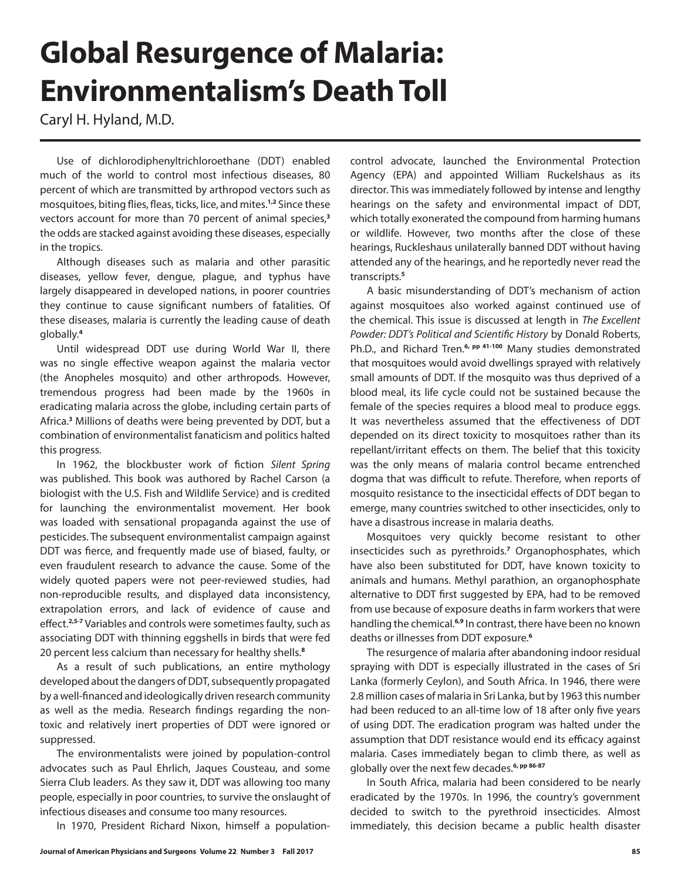## **Global Resurgence of Malaria: Environmentalism's Death Toll**

Caryl H. Hyland, M.D.

Use of dichlorodiphenyltrichloroethane (DDT) enabled much of the world to control most infectious diseases, 80 percent of which are transmitted by arthropod vectors such as mosquitoes, biting flies, fleas, ticks, lice, and mites.**1,2** Since these vectors account for more than 70 percent of animal species,**<sup>3</sup>** the odds are stacked against avoiding these diseases, especially in the tropics.

Although diseases such as malaria and other parasitic diseases, yellow fever, dengue, plague, and typhus have largely disappeared in developed nations, in poorer countries they continue to cause significant numbers of fatalities. Of these diseases, malaria is currently the leading cause of death globally.**<sup>4</sup>**

Until widespread DDT use during World War II, there was no single effective weapon against the malaria vector (the Anopheles mosquito) and other arthropods. However, tremendous progress had been made by the 1960s in eradicating malaria across the globe, including certain parts of Africa.**<sup>3</sup>** Millions of deaths were being prevented by DDT, but a combination of environmentalist fanaticism and politics halted this progress.

In 1962, the blockbuster work of fiction *Silent Spring* was published. This book was authored by Rachel Carson (a biologist with the U.S. Fish and Wildlife Service) and is credited for launching the environmentalist movement. Her book was loaded with sensational propaganda against the use of pesticides. The subsequent environmentalist campaign against DDT was fierce, and frequently made use of biased, faulty, or even fraudulent research to advance the cause. Some of the widely quoted papers were not peer-reviewed studies, had non-reproducible results, and displayed data inconsistency, extrapolation errors, and lack of evidence of cause and effect.**2,5-7** Variables and controls were sometimes faulty, such as associating DDT with thinning eggshells in birds that were fed 20 percent less calcium than necessary for healthy shells.**<sup>8</sup>**

As a result of such publications, an entire mythology developed about the dangers of DDT, subsequently propagated by a well-financed and ideologically driven research community as well as the media. Research findings regarding the nontoxic and relatively inert properties of DDT were ignored or suppressed.

The environmentalists were joined by population-control advocates such as Paul Ehrlich, Jaques Cousteau, and some Sierra Club leaders. As they saw it, DDT was allowing too many people, especially in poor countries, to survive the onslaught of infectious diseases and consume too many resources.

In 1970, President Richard Nixon, himself a population-

control advocate, launched the Environmental Protection Agency (EPA) and appointed William Ruckelshaus as its director. This was immediately followed by intense and lengthy hearings on the safety and environmental impact of DDT, which totally exonerated the compound from harming humans or wildlife. However, two months after the close of these hearings, Ruckleshaus unilaterally banned DDT without having attended any of the hearings, and he reportedly never read the transcripts.**<sup>5</sup>**

A basic misunderstanding of DDT's mechanism of action against mosquitoes also worked against continued use of the chemical. This issue is discussed at length in *The Excellent Powder: DDT's Political and Scientific History* by Donald Roberts, Ph.D., and Richard Tren.**6, pp 41-100** Many studies demonstrated that mosquitoes would avoid dwellings sprayed with relatively small amounts of DDT. If the mosquito was thus deprived of a blood meal, its life cycle could not be sustained because the female of the species requires a blood meal to produce eggs. It was nevertheless assumed that the effectiveness of DDT depended on its direct toxicity to mosquitoes rather than its repellant/irritant effects on them. The belief that this toxicity was the only means of malaria control became entrenched dogma that was difficult to refute. Therefore, when reports of mosquito resistance to the insecticidal effects of DDT began to emerge, many countries switched to other insecticides, only to have a disastrous increase in malaria deaths.

Mosquitoes very quickly become resistant to other insecticides such as pyrethroids.**<sup>7</sup>** Organophosphates, which have also been substituted for DDT, have known toxicity to animals and humans. Methyl parathion, an organophosphate alternative to DDT first suggested by EPA, had to be removed from use because of exposure deaths in farm workers that were handling the chemical.**6,9** In contrast, there have been no known deaths or illnesses from DDT exposure.**<sup>6</sup>**

The resurgence of malaria after abandoning indoor residual spraying with DDT is especially illustrated in the cases of Sri Lanka (formerly Ceylon), and South Africa. In 1946, there were 2.8 million cases of malaria in Sri Lanka, but by 1963 this number had been reduced to an all-time low of 18 after only five years of using DDT. The eradication program was halted under the assumption that DDT resistance would end its efficacy against malaria. Cases immediately began to climb there, as well as globally over the next few decades.**6, pp 86-87**

In South Africa, malaria had been considered to be nearly eradicated by the 1970s. In 1996, the country's government decided to switch to the pyrethroid insecticides. Almost immediately, this decision became a public health disaster